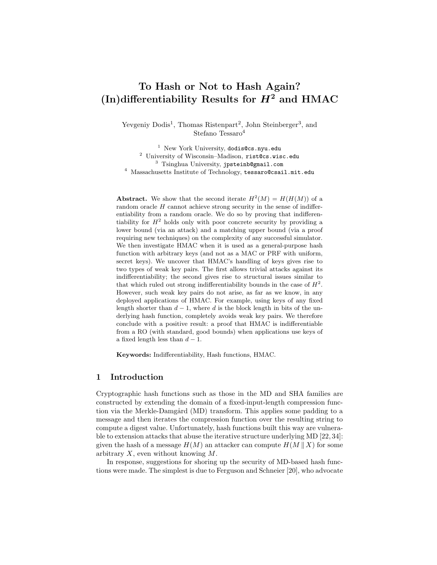# To Hash or Not to Hash Again? (In)differentiability Results for  $H^2$  and HMAC

Yevgeniy Dodis<sup>1</sup>, Thomas Ristenpart<sup>2</sup>, John Steinberger<sup>3</sup>, and Stefano Tessaro<sup>4</sup>

<sup>1</sup> New York University, dodis@cs.nyu.edu <sup>2</sup> University of Wisconsin–Madison, rist@cs.wisc.edu <sup>3</sup> Tsinghua University, jpsteinb@gmail.com <sup>4</sup> Massachusetts Institute of Technology, tessaro @csail.mit.edu

**Abstract.** We show that the second iterate  $H^2(M) = H(H(M))$  of a random oracle  $H$  cannot achieve strong security in the sense of indifferentiability from a random oracle. We do so by proving that indifferentiability for  $H^2$  holds only with poor concrete security by providing a lower bound (via an attack) and a matching upper bound (via a proof requiring new techniques) on the complexity of any successful simulator. We then investigate HMAC when it is used as a general-purpose hash function with arbitrary keys (and not as a MAC or PRF with uniform, secret keys). We uncover that HMAC's handling of keys gives rise to two types of weak key pairs. The first allows trivial attacks against its indifferentiability; the second gives rise to structural issues similar to that which ruled out strong indifferentiability bounds in the case of  $H^2$ . However, such weak key pairs do not arise, as far as we know, in any deployed applications of HMAC. For example, using keys of any fixed length shorter than  $d-1$ , where d is the block length in bits of the underlying hash function, completely avoids weak key pairs. We therefore conclude with a positive result: a proof that HMAC is indifferentiable from a RO (with standard, good bounds) when applications use keys of a fixed length less than  $d-1$ .

Keywords: Indifferentiability, Hash functions, HMAC.

## 1 Introduction

Cryptographic hash functions such as those in the MD and SHA families are constructed by extending the domain of a fixed-input-length compression function via the Merkle-Damgård (MD) transform. This applies some padding to a message and then iterates the compression function over the resulting string to compute a digest value. Unfortunately, hash functions built this way are vulnerable to extension attacks that abuse the iterative structure underlying MD [22, 34]: given the hash of a message  $H(M)$  an attacker can compute  $H(M || X)$  for some arbitrary  $X$ , even without knowing  $M$ .

In response, suggestions for shoring up the security of MD-based hash functions were made. The simplest is due to Ferguson and Schneier [20], who advocate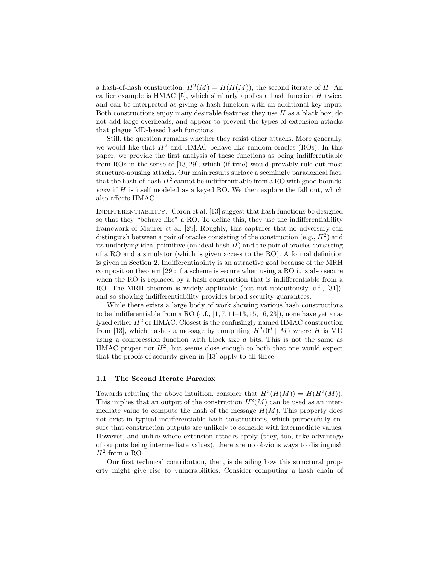a hash-of-hash construction:  $H^2(M) = H(H(M))$ , the second iterate of H. An earlier example is HMAC [5], which similarly applies a hash function  $H$  twice, and can be interpreted as giving a hash function with an additional key input. Both constructions enjoy many desirable features: they use  $H$  as a black box, do not add large overheads, and appear to prevent the types of extension attacks that plague MD-based hash functions.

Still, the question remains whether they resist other attacks. More generally, we would like that  $H^2$  and HMAC behave like random oracles (ROs). In this paper, we provide the first analysis of these functions as being indifferentiable from ROs in the sense of [13, 29], which (if true) would provably rule out most structure-abusing attacks. Our main results surface a seemingly paradoxical fact, that the hash-of-hash  $H^2$  cannot be indifferentiable from a RO with good bounds, even if  $H$  is itself modeled as a keyed RO. We then explore the fall out, which also affects HMAC.

Indifferentiability. Coron et al. [13] suggest that hash functions be designed so that they "behave like" a RO. To define this, they use the indifferentiability framework of Maurer et al. [29]. Roughly, this captures that no adversary can distinguish between a pair of oracles consisting of the construction (e.g.,  $H^2$ ) and its underlying ideal primitive (an ideal hash  $H$ ) and the pair of oracles consisting of a RO and a simulator (which is given access to the RO). A formal definition is given in Section 2. Indifferentiability is an attractive goal because of the MRH composition theorem [29]: if a scheme is secure when using a RO it is also secure when the RO is replaced by a hash construction that is indifferentiable from a RO. The MRH theorem is widely applicable (but not ubiquitously, c.f., [31]), and so showing indifferentiability provides broad security guarantees.

While there exists a large body of work showing various hash constructions to be indifferentiable from a RO (c.f.,  $[1, 7, 11-13, 15, 16, 23]$ ), none have yet analyzed either  $H<sup>2</sup>$  or HMAC. Closest is the confusingly named HMAC construction from [13], which hashes a message by computing  $H^2(0^d || M)$  where H is MD using a compression function with block size  $d$  bits. This is not the same as HMAC proper nor  $H^2$ , but seems close enough to both that one would expect that the proofs of security given in [13] apply to all three.

## 1.1 The Second Iterate Paradox

Towards refuting the above intuition, consider that  $H^2(H(M)) = H(H^2(M)).$ This implies that an output of the construction  $H^2(M)$  can be used as an intermediate value to compute the hash of the message  $H(M)$ . This property does not exist in typical indifferentiable hash constructions, which purposefully ensure that construction outputs are unlikely to coincide with intermediate values. However, and unlike where extension attacks apply (they, too, take advantage of outputs being intermediate values), there are no obvious ways to distinguish  $H^2$  from a RO.

Our first technical contribution, then, is detailing how this structural property might give rise to vulnerabilities. Consider computing a hash chain of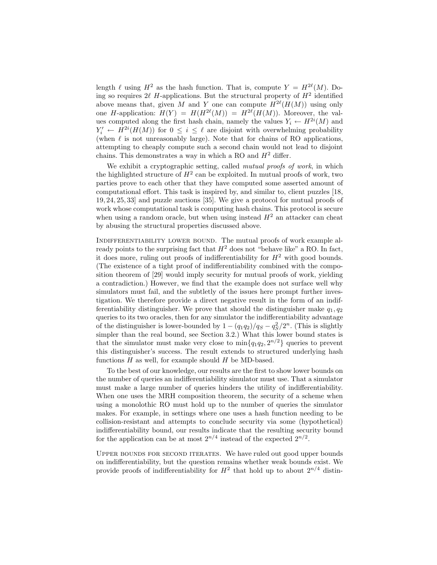length  $\ell$  using  $H^2$  as the hash function. That is, compute  $Y = H^{2\ell}(M)$ . Doing so requires  $2\ell$  H-applications. But the structural property of  $H^2$  identified above means that, given M and Y one can compute  $H^{2\ell}(H(M))$  using only one H-application:  $H(Y) = H(H^{2\ell}(M)) = H^{2\ell}(H(M))$ . Moreover, the values computed along the first hash chain, namely the values  $Y_i \leftarrow H^{2i}(M)$  and  $Y'_{i} \leftarrow H^{2i}(H(M))$  for  $0 \leq i \leq \ell$  are disjoint with overwhelming probability (when  $\ell$  is not unreasonably large). Note that for chains of RO applications, attempting to cheaply compute such a second chain would not lead to disjoint chains. This demonstrates a way in which a RO and  $H^2$  differ.

We exhibit a cryptographic setting, called *mutual proofs of work*, in which the highlighted structure of  $H^2$  can be exploited. In mutual proofs of work, two parties prove to each other that they have computed some asserted amount of computational effort. This task is inspired by, and similar to, client puzzles [18, 19, 24, 25, 33] and puzzle auctions [35]. We give a protocol for mutual proofs of work whose computational task is computing hash chains. This protocol is secure when using a random oracle, but when using instead  $H<sup>2</sup>$  an attacker can cheat by abusing the structural properties discussed above.

Indifferentiability lower bound. The mutual proofs of work example already points to the surprising fact that  $H^2$  does not "behave like" a RO. In fact, it does more, ruling out proofs of indifferentiability for  $H^2$  with good bounds. (The existence of a tight proof of indifferentiability combined with the composition theorem of [29] would imply security for mutual proofs of work, yielding a contradiction.) However, we find that the example does not surface well why simulators must fail, and the subtletly of the issues here prompt further investigation. We therefore provide a direct negative result in the form of an indifferentiability distinguisher. We prove that should the distinguisher make  $q_1, q_2$ queries to its two oracles, then for any simulator the indifferentiability advantage of the distinguisher is lower-bounded by  $1 - (q_1 q_2)/q_S - q_S^2/2^n$ . (This is slightly simpler than the real bound, see Section 3.2.) What this lower bound states is that the simulator must make very close to  $\min\{q_1q_2, 2^{n/2}\}\$  queries to prevent this distinguisher's success. The result extends to structured underlying hash functions  $H$  as well, for example should  $H$  be MD-based.

To the best of our knowledge, our results are the first to show lower bounds on the number of queries an indifferentiability simulator must use. That a simulator must make a large number of queries hinders the utility of indifferentiability. When one uses the MRH composition theorem, the security of a scheme when using a monolothic RO must hold up to the number of queries the simulator makes. For example, in settings where one uses a hash function needing to be collision-resistant and attempts to conclude security via some (hypothetical) indifferentiability bound, our results indicate that the resulting security bound for the application can be at most  $2^{n/4}$  instead of the expected  $2^{n/2}$ .

Upper bounds for second iterates. We have ruled out good upper bounds on indifferentiability, but the question remains whether weak bounds exist. We provide proofs of indifferentiability for  $H^2$  that hold up to about  $2^{n/4}$  distin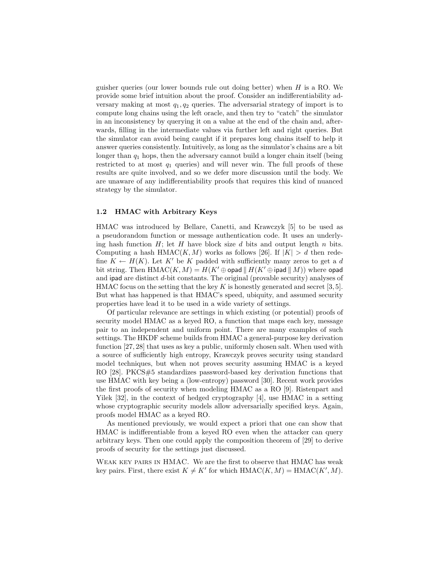guisher queries (our lower bounds rule out doing better) when  $H$  is a RO. We provide some brief intuition about the proof. Consider an indifferentiability adversary making at most  $q_1, q_2$  queries. The adversarial strategy of import is to compute long chains using the left oracle, and then try to "catch" the simulator in an inconsistency by querying it on a value at the end of the chain and, afterwards, filling in the intermediate values via further left and right queries. But the simulator can avoid being caught if it prepares long chains itself to help it answer queries consistently. Intuitively, as long as the simulator's chains are a bit longer than  $q_1$  hops, then the adversary cannot build a longer chain itself (being restricted to at most  $q_1$  queries) and will never win. The full proofs of these results are quite involved, and so we defer more discussion until the body. We are unaware of any indifferentiability proofs that requires this kind of nuanced strategy by the simulator.

## 1.2 HMAC with Arbitrary Keys

HMAC was introduced by Bellare, Canetti, and Krawczyk [5] to be used as a pseudorandom function or message authentication code. It uses an underlying hash function  $H$ ; let  $H$  have block size  $d$  bits and output length  $n$  bits. Computing a hash HMAC(K, M) works as follows [26]. If  $|K| > d$  then redefine  $K \leftarrow H(K)$ . Let K' be K padded with sufficiently many zeros to get a d bit string. Then HMAC(K, M) =  $H(K' \oplus \text{opad} || H(K' \oplus \text{ipad} || M))$  where opad and ipad are distinct d-bit constants. The original (provable security) analyses of HMAC focus on the setting that the key  $K$  is honestly generated and secret [3, 5]. But what has happened is that HMAC's speed, ubiquity, and assumed security properties have lead it to be used in a wide variety of settings.

Of particular relevance are settings in which existing (or potential) proofs of security model HMAC as a keyed RO, a function that maps each key, message pair to an independent and uniform point. There are many examples of such settings. The HKDF scheme builds from HMAC a general-purpose key derivation function [27, 28] that uses as key a public, uniformly chosen salt. When used with a source of sufficiently high entropy, Krawczyk proves security using standard model techniques, but when not proves security assuming HMAC is a keyed RO [28]. PKCS#5 standardizes password-based key derivation functions that use HMAC with key being a (low-entropy) password [30]. Recent work provides the first proofs of security when modeling HMAC as a RO [9]. Ristenpart and Yilek [32], in the context of hedged cryptography [4], use HMAC in a setting whose cryptographic security models allow adversarially specified keys. Again, proofs model HMAC as a keyed RO.

As mentioned previously, we would expect a priori that one can show that HMAC is indifferentiable from a keyed RO even when the attacker can query arbitrary keys. Then one could apply the composition theorem of [29] to derive proofs of security for the settings just discussed.

Weak key pairs in HMAC. We are the first to observe that HMAC has weak key pairs. First, there exist  $K \neq K'$  for which  $HMAC(K, M) = HMAC(K', M)$ .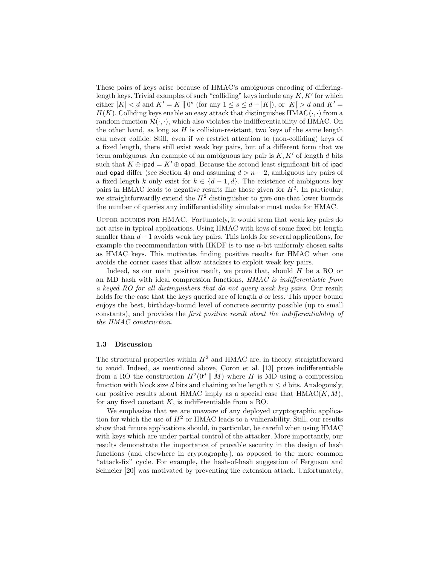These pairs of keys arise because of HMAC's ambiguous encoding of differinglength keys. Trivial examples of such "colliding" keys include any  $K, K'$  for which either  $|K| < d$  and  $K' = K \parallel 0^s$  (for any  $1 \leq s \leq d - |K|$ ), or  $|K| > d$  and  $K' =$  $H(K)$ . Colliding keys enable an easy attack that distinguishes  $HMAC(\cdot, \cdot)$  from a random function  $\mathcal{R}(\cdot, \cdot)$ , which also violates the indifferentiability of HMAC. On the other hand, as long as  $H$  is collision-resistant, two keys of the same length can never collide. Still, even if we restrict attention to (non-colliding) keys of a fixed length, there still exist weak key pairs, but of a different form that we term ambiguous. An example of an ambiguous key pair is  $K, K'$  of length d bits such that  $K \oplus \text{ipad} = K' \oplus \text{opad}$ . Because the second least significant bit of ipad and opad differ (see Section 4) and assuming  $d > n - 2$ , ambiguous key pairs of a fixed length k only exist for  $k \in \{d-1, d\}$ . The existence of ambiguous key pairs in HMAC leads to negative results like those given for  $H^2$ . In particular, we straightforwardly extend the  $H^2$  distinguisher to give one that lower bounds the number of queries any indifferentiability simulator must make for HMAC.

Upper bounds for HMAC. Fortunately, it would seem that weak key pairs do not arise in typical applications. Using HMAC with keys of some fixed bit length smaller than  $d-1$  avoids weak key pairs. This holds for several applications, for example the recommendation with  $HKDF$  is to use *n*-bit uniformly chosen salts as HMAC keys. This motivates finding positive results for HMAC when one avoids the corner cases that allow attackers to exploit weak key pairs.

Indeed, as our main positive result, we prove that, should  $H$  be a RO or an MD hash with ideal compression functions, HMAC is indifferentiable from a keyed RO for all distinguishers that do not query weak key pairs. Our result holds for the case that the keys queried are of length d or less. This upper bound enjoys the best, birthday-bound level of concrete security possible (up to small constants), and provides the first positive result about the indifferentiability of the HMAC construction.

#### 1.3 Discussion

The structural properties within  $H^2$  and HMAC are, in theory, straightforward to avoid. Indeed, as mentioned above, Coron et al. [13] prove indifferentiable from a RO the construction  $H^2(0^d || M)$  where H is MD using a compression function with block size d bits and chaining value length  $n \leq d$  bits. Analogously, our positive results about HMAC imply as a special case that  $HMAC(K, M)$ , for any fixed constant  $K$ , is indifferentiable from a RO.

We emphasize that we are unaware of any deployed cryptographic application for which the use of  $H^2$  or HMAC leads to a vulnerability. Still, our results show that future applications should, in particular, be careful when using HMAC with keys which are under partial control of the attacker. More importantly, our results demonstrate the importance of provable security in the design of hash functions (and elsewhere in cryptography), as opposed to the more common "attack-fix" cycle. For example, the hash-of-hash suggestion of Ferguson and Schneier [20] was motivated by preventing the extension attack. Unfortunately,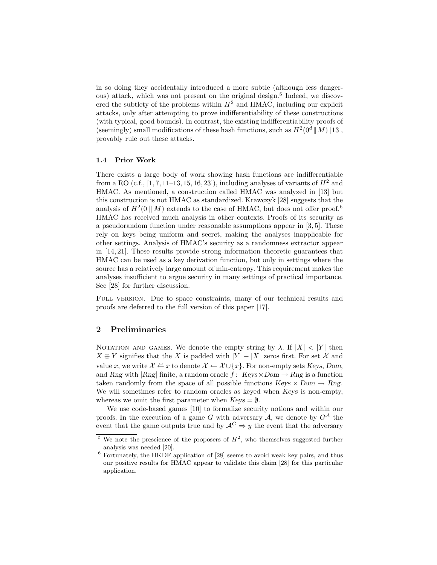in so doing they accidentally introduced a more subtle (although less dangerous) attack, which was not present on the original design.<sup>5</sup> Indeed, we discovered the subtlety of the problems within  $H^2$  and HMAC, including our explicit attacks, only after attempting to prove indifferentiability of these constructions (with typical, good bounds). In contrast, the existing indifferentiability proofs of (seemingly) small modifications of these hash functions, such as  $H^2(0^d || M)$  [13], provably rule out these attacks.

# 1.4 Prior Work

There exists a large body of work showing hash functions are indifferentiable from a RO (c.f.,  $[1, 7, 11-13, 15, 16, 23]$ ), including analyses of variants of  $H<sup>2</sup>$  and HMAC. As mentioned, a construction called HMAC was analyzed in [13] but this construction is not HMAC as standardized. Krawczyk [28] suggests that the analysis of  $H^2(0 \parallel M)$  extends to the case of HMAC, but does not offer proof.<sup>6</sup> HMAC has received much analysis in other contexts. Proofs of its security as a pseudorandom function under reasonable assumptions appear in [3, 5]. These rely on keys being uniform and secret, making the analyses inapplicable for other settings. Analysis of HMAC's security as a randomness extractor appear in [14, 21]. These results provide strong information theoretic guarantees that HMAC can be used as a key derivation function, but only in settings where the source has a relatively large amount of min-entropy. This requirement makes the analyses insufficient to argue security in many settings of practical importance. See [28] for further discussion.

FULL VERSION. Due to space constraints, many of our technical results and proofs are deferred to the full version of this paper [17].

# 2 Preliminaries

NOTATION AND GAMES. We denote the empty string by  $\lambda$ . If  $|X| < |Y|$  then  $X \oplus Y$  signifies that the X is padded with  $|Y| - |X|$  zeros first. For set X and value x, we write  $\mathcal{X} \stackrel{\cup}{\leftarrow} x$  to denote  $\mathcal{X} \leftarrow \mathcal{X} \cup \{x\}$ . For non-empty sets Keys, Dom, and Rng with  $|Rng|$  finite, a random oracle f:  $Kevs \times Dom \rightarrow Rng$  is a function taken randomly from the space of all possible functions  $Keys \times Dom \rightarrow Rng$ . We will sometimes refer to random oracles as keyed when Keys is non-empty, whereas we omit the first parameter when  $Keys = \emptyset$ .

We use code-based games [10] to formalize security notions and within our proofs. In the execution of a game G with adversary A, we denote by  $G^{\mathcal{A}}$  the event that the game outputs true and by  $\mathcal{A}^G \Rightarrow y$  the event that the adversary

<sup>&</sup>lt;sup>5</sup> We note the prescience of the proposers of  $H^2$ , who themselves suggested further analysis was needed [20].

<sup>6</sup> Fortunately, the HKDF application of [28] seems to avoid weak key pairs, and thus our positive results for HMAC appear to validate this claim [28] for this particular application.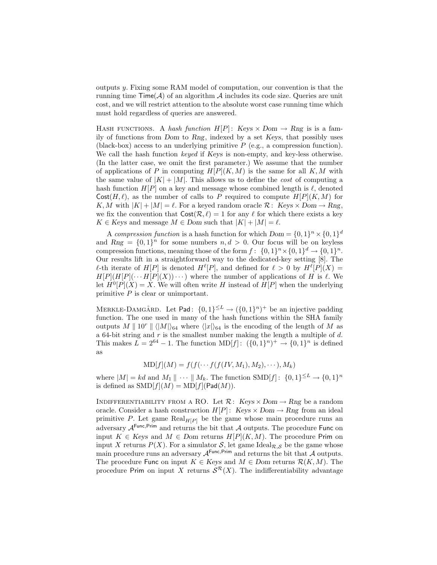outputs y. Fixing some RAM model of computation, our convention is that the running time  $\text{Time}(\mathcal{A})$  of an algorithm  $\mathcal{A}$  includes its code size. Queries are unit cost, and we will restrict attention to the absolute worst case running time which must hold regardless of queries are answered.

HASH FUNCTIONS. A hash function  $H[P]$ : Keys  $\times$  Dom  $\rightarrow$  Rng is is a family of functions from Dom to Rng, indexed by a set Keys, that possibly uses (black-box) access to an underlying primitive  $P$  (e.g., a compression function). We call the hash function *keyed* if Keys is non-empty, and key-less otherwise. (In the latter case, we omit the first parameter.) We assume that the number of applications of P in computing  $H[P](K, M)$  is the same for all K, M with the same value of  $|K| + |M|$ . This allows us to define the *cost* of computing a hash function  $H[P]$  on a key and message whose combined length is  $\ell$ , denoted  $\textsf{Cost}(H,\ell)$ , as the number of calls to P required to compute  $H[P](K,M)$  for K, M with  $|K| + |M| = \ell$ . For a keyed random oracle R: Keys  $\times$  Dom  $\rightarrow$  Rng, we fix the convention that  $Cost(R, \ell) = 1$  for any  $\ell$  for which there exists a key  $K \in \text{Keys}$  and message  $M \in \text{Dom}$  such that  $|K| + |M| = \ell$ .

A compression function is a hash function for which  $Dom = \{0, 1\}^n \times \{0, 1\}^d$ and  $Rng = \{0,1\}^n$  for some numbers  $n, d > 0$ . Our focus will be on keyless compression functions, meaning those of the form  $f: \{0,1\}^n \times \{0,1\}^d \to \{0,1\}^n$ . Our results lift in a straightforward way to the dedicated-key setting [8]. The  $\ell$ -th iterate of  $H[P]$  is denoted  $H^{\ell}[P]$ , and defined for  $\ell > 0$  by  $H^{\ell}[P](X) =$  $H[P|(H[P](\cdots H[P](X))\cdots)$  where the number of applications of H is  $\ell$ . We let  $H^0[P](X) = X$ . We will often write H instead of  $H[P]$  when the underlying primitive  $P$  is clear or unimportant.

MERKLE-DAMGÅRD. Let Pad:  $\{0,1\}^{\leq L} \rightarrow (\{0,1\}^n)^+$  be an injective padding function. The one used in many of the hash functions within the SHA family outputs M || 10<sup>r</sup> ||  $\langle |M|\rangle_{64}$  where  $\langle |x|\rangle_{64}$  is the encoding of the length of M as a 64-bit string and  $r$  is the smallest number making the length a multiple of  $d$ . This makes  $L = 2^{64} - 1$ . The function MD[f]:  $({0, 1}^n)^+ \rightarrow {0, 1}^n$  is defined as

 $MD[f](M) = f(f(\cdots f(f(IV, M_1), M_2), \cdots), M_k)$ 

where  $|M| = kd$  and  $M_1 \parallel \cdots \parallel M_k$ . The function SMD[ $f$ ]:  $\{0,1\}^{\leq L} \rightarrow \{0,1\}^n$ is defined as  $SMD[f](M) = MD[f](Pad(M)).$ 

INDIFFERENTIABILITY FROM A RO. Let  $\mathcal{R}:$  Keys  $\times$  Dom  $\rightarrow$  Rng be a random oracle. Consider a hash construction  $H[P]$ :  $Keys \times Dom \rightarrow Rng$  from an ideal primitive P. Let game  $\text{Real}_{H[P]}$  be the game whose main procedure runs an adversary  $A^{Func,Prim}$  and returns the bit that A outputs. The procedure Func on input  $K \in \text{Kevs}$  and  $M \in \text{Dom}$  returns  $H[P](K, M)$ . The procedure Prim on input X returns  $P(X)$ . For a simulator S, let game Ideal<sub>R, S</sub> be the game whose main procedure runs an adversary  $A^{\text{Func,Prim}}$  and returns the bit that A outputs. The procedure Func on input  $K \in Keys$  and  $M \in Dom$  returns  $\mathcal{R}(K, M)$ . The procedure Prim on input X returns  $\mathcal{S}^{\mathcal{R}}(X)$ . The indifferentiability advantage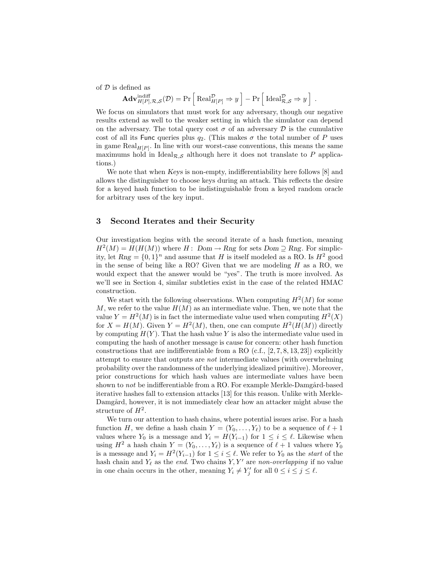of  $D$  is defined as

$$
\mathbf{Adv}_{H[P], \mathcal{R}, \mathcal{S}}^{\text{indiff}}(\mathcal{D}) = \Pr\left[\text{Real}_{H[P]}^{\mathcal{D}} \Rightarrow y\right] - \Pr\left[\text{Ideal}_{\mathcal{R}, \mathcal{S}}^{\mathcal{D}} \Rightarrow y\right].
$$

We focus on simulators that must work for any adversary, though our negative results extend as well to the weaker setting in which the simulator can depend on the adversary. The total query cost  $\sigma$  of an adversary  $\mathcal D$  is the cumulative cost of all its Func queries plus  $q_2$ . (This makes  $\sigma$  the total number of P uses in game  $\text{Real}_{H[P]}$ . In line with our worst-case conventions, this means the same maximums hold in Ideal $_{R,S}$  although here it does not translate to P applications.)

We note that when Keys is non-empty, indifferentiability here follows [8] and allows the distinguisher to choose keys during an attack. This reflects the desire for a keyed hash function to be indistinguishable from a keyed random oracle for arbitrary uses of the key input.

## 3 Second Iterates and their Security

Our investigation begins with the second iterate of a hash function, meaning  $H^2(M) = H(H(M))$  where H: Dom  $\rightarrow$  Rng for sets Dom  $\supseteq$  Rng. For simplicity, let  $Rng = \{0, 1\}^n$  and assume that H is itself modeled as a RO. Is  $H^2$  good in the sense of being like a RO? Given that we are modeling  $H$  as a RO, we would expect that the answer would be "yes". The truth is more involved. As we'll see in Section 4, similar subtleties exist in the case of the related HMAC construction.

We start with the following observations. When computing  $H^2(M)$  for some M, we refer to the value  $H(M)$  as an intermediate value. Then, we note that the value  $Y = H^2(M)$  is in fact the intermediate value used when computing  $H^2(X)$ for  $X = H(M)$ . Given  $Y = H^2(M)$ , then, one can compute  $H^2(H(M))$  directly by computing  $H(Y)$ . That the hash value Y is also the intermediate value used in computing the hash of another message is cause for concern: other hash function constructions that are indifferentiable from a RO  $(c.f., [2, 7, 8, 13, 23])$  explicitly attempt to ensure that outputs are not intermediate values (with overwhelming probability over the randomness of the underlying idealized primitive). Moreover, prior constructions for which hash values are intermediate values have been shown to not be indifferentiable from a RO. For example Merkle-Damgård-based iterative hashes fall to extension attacks [13] for this reason. Unlike with Merkle-Damgård, however, it is not immediately clear how an attacker might abuse the structure of  $H^2$ .

We turn our attention to hash chains, where potential issues arise. For a hash function H, we define a hash chain  $Y = (Y_0, \ldots, Y_\ell)$  to be a sequence of  $\ell + 1$ values where  $Y_0$  is a message and  $Y_i = H(Y_{i-1})$  for  $1 \leq i \leq \ell$ . Likewise when using  $H^2$  a hash chain  $Y = (Y_0, \ldots, Y_\ell)$  is a sequence of  $\ell + 1$  values where  $Y_0$ is a message and  $Y_i = H^2(Y_{i-1})$  for  $1 \leq i \leq \ell$ . We refer to  $Y_0$  as the *start* of the hash chain and  $Y_{\ell}$  as the *end*. Two chains  $Y, Y'$  are *non-overlapping* if no value in one chain occurs in the other, meaning  $Y_i \neq Y'_j$  for all  $0 \leq i \leq j \leq \ell$ .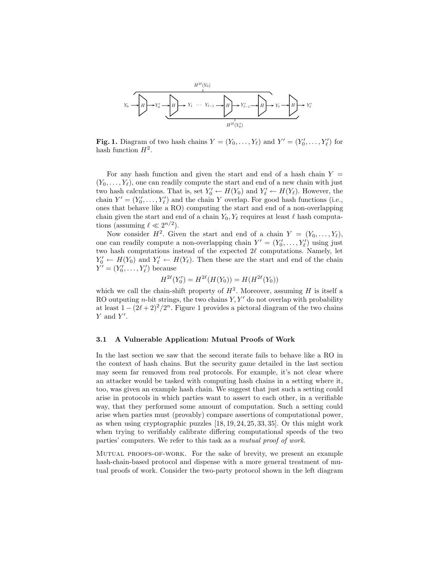

**Fig. 1.** Diagram of two hash chains  $Y = (Y_0, \ldots, Y_\ell)$  and  $Y' = (Y'_0, \ldots, Y'_\ell)$  for hash function  $H^2$ .

For any hash function and given the start and end of a hash chain  $Y =$  $(Y_0, \ldots, Y_\ell)$ , one can readily compute the start and end of a new chain with just two hash calculations. That is, set  $Y_0' \leftarrow H(Y_0)$  and  $Y_{\ell}' \leftarrow H(Y_{\ell})$ . However, the chain  $Y' = (Y'_0, \ldots, Y'_\ell)$  and the chain Y overlap. For good hash functions (i.e., ones that behave like a RO) computing the start and end of a non-overlapping chain given the start and end of a chain  $Y_0, Y_\ell$  requires at least  $\ell$  hash computations (assuming  $\ell \ll 2^{n/2}$ ).

Now consider  $H^2$ . Given the start and end of a chain  $Y = (Y_0, \ldots, Y_\ell)$ , one can readily compute a non-overlapping chain  $Y' = (Y'_0, \ldots, Y'_\ell)$  using just two hash computations instead of the expected  $2\ell$  computations. Namely, let  $Y'_0 \leftarrow H(Y_0)$  and  $Y'_\ell \leftarrow H(Y_\ell)$ . Then these are the start and end of the chain  $Y' = (Y'_0, \ldots, Y'_\ell)$  because

$$
H^{2\ell}(Y'_0) = H^{2\ell}(H(Y_0)) = H(H^{2\ell}(Y_0))
$$

which we call the chain-shift property of  $H^2$ . Moreover, assuming H is itself a RO outputing *n*-bit strings, the two chains  $Y, Y'$  do not overlap with probability at least  $1 - (2\ell + 2)^2/2^n$ . Figure 1 provides a pictoral diagram of the two chains  $Y$  and  $Y'$ .

## 3.1 A Vulnerable Application: Mutual Proofs of Work

In the last section we saw that the second iterate fails to behave like a RO in the context of hash chains. But the security game detailed in the last section may seem far removed from real protocols. For example, it's not clear where an attacker would be tasked with computing hash chains in a setting where it, too, was given an example hash chain. We suggest that just such a setting could arise in protocols in which parties want to assert to each other, in a verifiable way, that they performed some amount of computation. Such a setting could arise when parties must (provably) compare assertions of computational power, as when using cryptographic puzzles [18, 19, 24, 25, 33, 35]. Or this might work when trying to verifiably calibrate differing computational speeds of the two parties' computers. We refer to this task as a mutual proof of work.

Mutual proofs-of-work. For the sake of brevity, we present an example hash-chain-based protocol and dispense with a more general treatment of mutual proofs of work. Consider the two-party protocol shown in the left diagram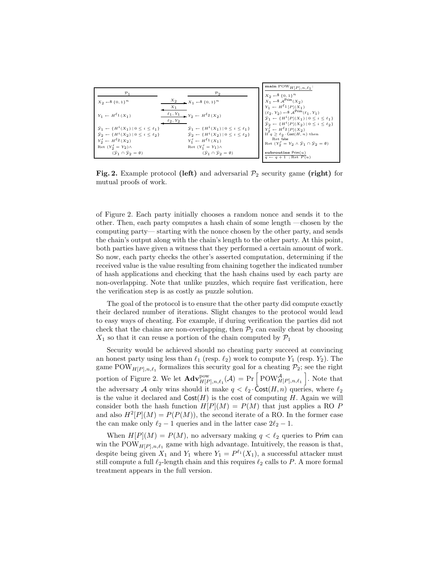

Fig. 2. Example protocol (left) and adversarial  $\mathcal{P}_2$  security game (right) for mutual proofs of work.

of Figure 2. Each party initially chooses a random nonce and sends it to the other. Then, each party computes a hash chain of some length —chosen by the computing party— starting with the nonce chosen by the other party, and sends the chain's output along with the chain's length to the other party. At this point, both parties have given a witness that they performed a certain amount of work. So now, each party checks the other's asserted computation, determining if the received value is the value resulting from chaining together the indicated number of hash applications and checking that the hash chains used by each party are non-overlapping. Note that unlike puzzles, which require fast verification, here the verification step is as costly as puzzle solution.

The goal of the protocol is to ensure that the other party did compute exactly their declared number of iterations. Slight changes to the protocol would lead to easy ways of cheating. For example, if during verification the parties did not check that the chains are non-overlapping, then  $\mathcal{P}_2$  can easily cheat by choosing  $X_1$  so that it can reuse a portion of the chain computed by  $\mathcal{P}_1$ 

Security would be achieved should no cheating party succeed at convincing an honest party using less than  $\ell_1$  (resp.  $\ell_2$ ) work to compute  $Y_1$  (resp.  $Y_2$ ). The game  $\text{POW}_{H[P], n, \ell_1}$  formalizes this security goal for a cheating  $\mathcal{P}_2$ ; see the right portion of Figure 2. We let  $\mathbf{Adv}_{H[P],n,\ell_1}^{\text{pow}}(\mathcal{A}) = \Pr \left[ \text{POW}_{H[P],n,\ell_1}^{\mathcal{A}} \right]$ . Note that the adversary A only wins should it make  $q < \ell_2 \cdot \text{Cost}(H, n)$  queries, where  $\ell_2$ is the value it declared and  $\text{Cost}(H)$  is the cost of computing H. Again we will consider both the hash function  $H[P](M) = P(M)$  that just applies a RO P and also  $H^2[P](M) = P(P(M))$ , the second iterate of a RO. In the former case the can make only  $\ell_2 - 1$  queries and in the latter case  $2\ell_2 - 1$ .

When  $H[P](M) = P(M)$ , no adversary making  $q < l_2$  queries to Prim can win the  $\mathrm{POW}_{H[P], n, \ell_1}$  game with high advantage. Intuitively, the reason is that, despite being given  $X_1$  and  $Y_1$  where  $Y_1 = P^{\ell_1}(X_1)$ , a successful attacker must still compute a full  $\ell_2$ -length chain and this requires  $\ell_2$  calls to P. A more formal treatment appears in the full version.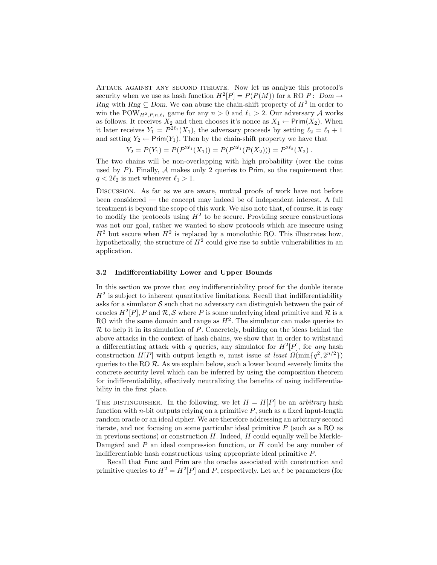Attack against any second iterate. Now let us analyze this protocol's security when we use as hash function  $H^2[P] = P(P(M))$  for a RO P: Dom  $\rightarrow$ Rng with  $Rng \subseteq Dom$ . We can abuse the chain-shift property of  $H^2$  in order to win the POW<sub>H<sup>2</sup>, P,n, $\ell_1$  game for any  $n > 0$  and  $\ell_1 > 2$ . Our adversary A works</sub> as follows. It receives  $X_2$  and then chooses it's nonce as  $X_1 \leftarrow \text{Prim}(X_2)$ . When it later receives  $Y_1 = P^{2\ell_1}(X_1)$ , the adversary proceeds by setting  $\ell_2 = \ell_1 + 1$ and setting  $Y_2 \leftarrow \text{Prim}(Y_1)$ . Then by the chain-shift property we have that

$$
Y_2 = P(Y_1) = P(P^{2\ell_1}(X_1)) = P(P^{2\ell_1}(P(X_2))) = P^{2\ell_2}(X_2).
$$

The two chains will be non-overlapping with high probability (over the coins used by P). Finally, A makes only 2 queries to Prim, so the requirement that  $q < 2\ell_2$  is met whenever  $\ell_1 > 1$ .

Discussion. As far as we are aware, mutual proofs of work have not before been considered — the concept may indeed be of independent interest. A full treatment is beyond the scope of this work. We also note that, of course, it is easy to modify the protocols using  $H^2$  to be secure. Providing secure constructions was not our goal, rather we wanted to show protocols which are insecure using  $H<sup>2</sup>$  but secure when  $H<sup>2</sup>$  is replaced by a monolothic RO. This illustrates how, hypothetically, the structure of  $H^2$  could give rise to subtle vulnerabilities in an application.

#### 3.2 Indifferentiability Lower and Upper Bounds

In this section we prove that any indifferentiability proof for the double iterate  $H<sup>2</sup>$  is subject to inherent quantitative limitations. Recall that indifferentiability asks for a simulator  $\mathcal S$  such that no adversary can distinguish between the pair of oracles  $H^2[P], P$  and  $\mathcal{R}, \mathcal{S}$  where P is some underlying ideal primitive and  $\mathcal{R}$  is a RO with the same domain and range as  $H^2$ . The simulator can make queries to  $\mathcal R$  to help it in its simulation of  $P$ . Concretely, building on the ideas behind the above attacks in the context of hash chains, we show that in order to withstand a differentiating attack with q queries, any simulator for  $H^2[P]$ , for any hash construction  $H[P]$  with output length n, must issue at least  $\Omega(\min\{q^2, 2^{n/2}\})$ queries to the RO  $\mathcal R$ . As we explain below, such a lower bound severely limits the concrete security level which can be inferred by using the composition theorem for indifferentiability, effectively neutralizing the benefits of using indifferentiability in the first place.

THE DISTINGUISHER. In the following, we let  $H = H[P]$  be an arbitrary hash function with *n*-bit outputs relying on a primitive  $P$ , such as a fixed input-length random oracle or an ideal cipher. We are therefore addressing an arbitrary second iterate, and not focusing on some particular ideal primitive  $P$  (such as a RO as in previous sections) or construction  $H$ . Indeed,  $H$  could equally well be Merkle-Damgård and  $P$  an ideal compression function, or  $H$  could be any number of indifferentiable hash constructions using appropriate ideal primitive P.

Recall that Func and Prim are the oracles associated with construction and primitive queries to  $H^2 = H^2[P]$  and P, respectively. Let  $w, \ell$  be parameters (for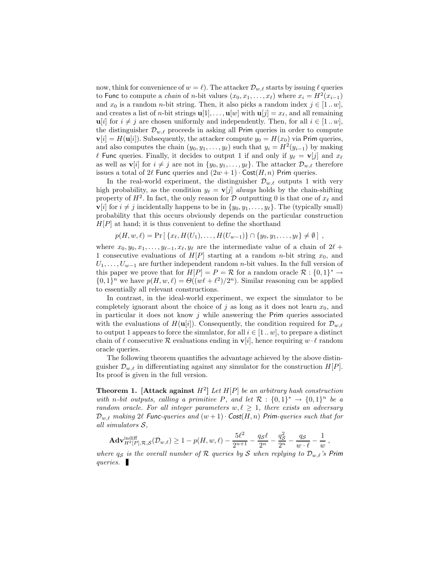now, think for convenience of  $w = \ell$ . The attacker  $\mathcal{D}_{w,\ell}$  starts by issuing  $\ell$  queries to Func to compute a *chain* of *n*-bit values  $(x_0, x_1, \ldots, x_\ell)$  where  $x_i = H^2(x_{i-1})$ and  $x_0$  is a random *n*-bit string. Then, it also picks a random index  $j \in [1..w]$ , and creates a list of *n*-bit strings  $\mathbf{u}[1], \ldots, \mathbf{u}[w]$  with  $\mathbf{u}[j] = x_{\ell}$ , and all remaining  $u[i]$  for  $i \neq j$  are chosen uniformly and independently. Then, for all  $i \in [1..w]$ , the distinguisher  $\mathcal{D}_{w,\ell}$  proceeds in asking all Prim queries in order to compute  $\mathbf{v}[i] = H(\mathbf{u}[i])$ . Subsequently, the attacker compute  $y_0 = H(x_0)$  via Prim queries, and also computes the chain  $(y_0, y_1, \ldots, y_\ell)$  such that  $y_i = H^2(y_{i-1})$  by making  $\ell$  Func queries. Finally, it decides to output 1 if and only if  $y_{\ell} = \mathbf{v}[j]$  and  $x_{\ell}$ as well as  $\mathbf{v}[i]$  for  $i \neq j$  are not in  $\{y_0, y_1, \ldots, y_\ell\}$ . The attacker  $\mathcal{D}_{w,\ell}$  therefore issues a total of  $2\ell$  Func queries and  $(2w + 1) \cdot \text{Cost}(H, n)$  Prim queries.

In the real-world experiment, the distinguisher  $\mathcal{D}_{w,\ell}$  outputs 1 with very high probability, as the condition  $y_{\ell} = \mathbf{v}[j]$  always holds by the chain-shifting property of  $H^2$ . In fact, the only reason for  $\mathcal D$  outputting 0 is that one of  $x_\ell$  and  $\mathbf{v}[i]$  for  $i \neq j$  incidentally happens to be in  $\{y_0, y_1, \ldots, y_\ell\}$ . The (typically small) probability that this occurs obviously depends on the particular construction  $H[P]$  at hand; it is thus convenient to define the shorthand

$$
p(H, w, \ell) = \Pr [\{x_{\ell}, H(U_1), \ldots, H(U_{w-1})\} \cap \{y_0, y_1, \ldots, y_{\ell}\} \neq \emptyset],
$$

where  $x_0, y_0, x_1, \ldots, y_{\ell-1}, x_{\ell}, y_{\ell}$  are the intermediate value of a chain of  $2\ell +$ 1 consecutive evaluations of  $H[P]$  starting at a random *n*-bit string  $x_0$ , and  $U_1, \ldots, U_{w-1}$  are further independent random n-bit values. In the full version of this paper we prove that for  $H[P] = P = \mathcal{R}$  for a random oracle  $\mathcal{R} : \{0,1\}^* \to$  $\{0,1\}^n$  we have  $p(H, w, \ell) = \Theta((w\ell + \ell^2)/2^n)$ . Similar reasoning can be applied to essentially all relevant constructions.

In contrast, in the ideal-world experiment, we expect the simulator to be completely ignorant about the choice of j as long as it does not learn  $x_0$ , and in particular it does not know  $j$  while answering the Prim queries associated with the evaluations of  $H(\mathbf{u}[i])$ . Consequently, the condition required for  $\mathcal{D}_{w,\ell}$ to output 1 appears to force the simulator, for all  $i \in [1..w]$ , to prepare a distinct chain of  $\ell$  consecutive  $\mathcal R$  evaluations ending in  $\mathbf{v}[i]$ , hence requiring  $w \cdot \ell$  random oracle queries.

The following theorem quantifies the advantage achieved by the above distinguisher  $\mathcal{D}_{w,\ell}$  in differentiating against any simulator for the construction  $H[P]$ . Its proof is given in the full version.

**Theorem 1.** [Attack against  $H^2$ ] Let  $H[P]$  be an arbitrary hash construction with n-bit outputs, calling a primitive P, and let  $\mathcal{R} : \{0,1\}^* \to \{0,1\}^n$  be a random oracle. For all integer parameters  $w, \ell \geq 1$ , there exists an adversary  $\mathcal{D}_{w,\ell}$  making  $2\ell$  Func-queries and  $(w+1)$ . Cost $(H, n)$  Prim-queries such that for all simulators S,

$$
\mathbf{Adv}_{H^2[P], \mathcal{R}, \mathcal{S}}^{\text{indiff}}(\mathcal{D}_{w,\ell}) \ge 1 - p(H, w, \ell) - \frac{5\ell^2}{2^{n+1}} - \frac{q_{\mathcal{S}}\ell}{2^n} - \frac{q_{\mathcal{S}}^2}{2^n} - \frac{qs}{w \cdot \ell} - \frac{1}{w}
$$

,

where  $q_S$  is the overall number of R queries by S when replying to  $\mathcal{D}_{w,\ell}$ 's Prim queries.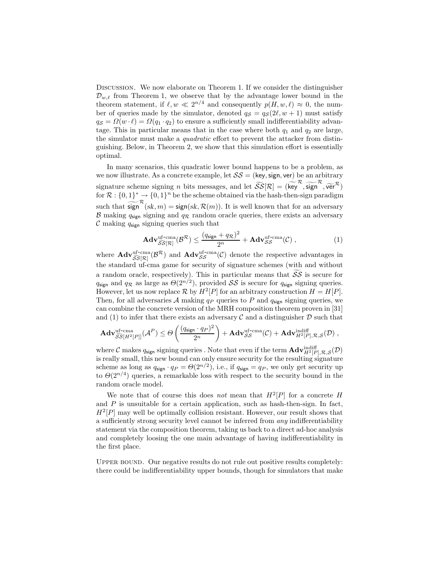Discussion. We now elaborate on Theorem 1. If we consider the distinguisher  $\mathcal{D}_{w,\ell}$  from Theorem 1, we observe that by the advantage lower bound in the theorem statement, if  $\ell, w \ll 2^{n/4}$  and consequently  $p(H, w, \ell) \approx 0$ , the number of queries made by the simulator, denoted  $q_S = q_S(2\ell, w+1)$  must satisfy  $q_{\mathcal{S}} = \Omega(w \cdot \ell) = \Omega(q_1 \cdot q_2)$  to ensure a sufficiently small indifferentiability advantage. This in particular means that in the case where both  $q_1$  and  $q_2$  are large, the simulator must make a quadratic effort to prevent the attacker from distinguishing. Below, in Theorem 2, we show that this simulation effort is essentially optimal.

In many scenarios, this quadratic lower bound happens to be a problem, as we now illustrate. As a concrete example, let  $SS =$  (key, sign, ver) be an arbitrary signature scheme signing *n* bits messages, and let  $\widetilde{\mathcal{SS}}[\mathcal{R}] = (\widetilde{\text{key}}^{\mathcal{R}}, \widetilde{\text{sign}}^{\mathcal{R}}, \widetilde{\text{ver}}^{\mathcal{R}})$ for  $\mathcal{R}: \{0,1\}^* \to \{0,1\}^n$  be the scheme obtained via the hash-then-sign paradigm such that  $\widetilde{\text{sign}}^{\mathcal{R}}(sk, m) = \text{sign}(sk, \mathcal{R}(m))$ . It is well known that for an adversary  $\beta$  making  $q_{sign}$  signing and  $q_{\mathcal{R}}$  random oracle queries, there exists an adversary  $\mathcal C$  making  $q_{sign}$  signing queries such that

$$
\mathbf{Adv}_{\widetilde{SS}[\mathcal{R}]}^{\text{uf-cma}}(\mathcal{B}^{\mathcal{R}}) \le \frac{(q_{\text{sign}} + q_{\mathcal{R}})^2}{2^n} + \mathbf{Adv}_{\mathcal{SS}}^{\text{uf-cma}}(\mathcal{C}), \qquad (1)
$$

where  $\mathbf{Adv}_{\mathcal{S}\mathcal{S}[\mathcal{R}]}^{\text{uf-cma}}(\mathcal{B}^{\mathcal{R}})$  and  $\mathbf{Adv}_{\mathcal{S}\mathcal{S}}^{\text{uf-cma}}(\mathcal{C})$  denote the respective advantages in the standard uf-cma game for security of signature schemes (with and without a random oracle, respectively). This in particular means that  $S\mathcal{S}$  is secure for  $q_{\text{sign}}$  and  $q_{\mathcal{R}}$  as large as  $\Theta(2^{n/2})$ , provided SS is secure for  $q_{\text{sign}}$  signing queries. However, let us now replace R by  $H^2[P]$  for an arbitrary construction  $H = H[P]$ . Then, for all adversaries A making  $q_P$  queries to P and  $q_{sign}$  signing queries, we can combine the concrete version of the MRH composition theorem proven in [31] and (1) to infer that there exists an adversary  $\mathcal C$  and a distinguisher  $\mathcal D$  such that

$$
\mathbf{Adv}_{\widetilde{\mathcal{SS}}[H^2[P]]}^{\text{uf-cma}}(\mathcal{A}^P) \leq \Theta\left(\frac{(q_{\text{sign}} \cdot q_P)^2}{2^n}\right) + \mathbf{Adv}_{\mathcal{SS}}^{\text{uf-cma}}(\mathcal{C}) + \mathbf{Adv}_{H^2[P], \mathcal{R}, \mathcal{S}}^{\text{indiff}}(\mathcal{D}),
$$

where C makes  $q_{sign}$  signing queries . Note that even if the term  $\mathbf{Adv}_{H^2[P], \mathcal{R}, \mathcal{S}}^{\text{indiff}}(\mathcal{D})$ is really small, this new bound can only ensure security for the resulting signature scheme as long as  $q_{\text{sign}} \cdot q_P = \Theta(2^{n/2})$ , i.e., if  $q_{\text{sign}} = q_P$ , we only get security up to  $\Theta(2^{n/4})$  queries, a remarkable loss with respect to the security bound in the random oracle model.

We note that of course this does *not* mean that  $H^2[P]$  for a concrete H and  $P$  is unsuitable for a certain application, such as hash-then-sign. In fact,  $H^2[P]$  may well be optimally collision resistant. However, our result shows that a sufficiently strong security level cannot be inferred from any indifferentiability statement via the composition theorem, taking us back to a direct ad-hoc analysis and completely loosing the one main advantage of having indifferentiability in the first place.

UPPER BOUND. Our negative results do not rule out positive results completely: there could be indifferentiability upper bounds, though for simulators that make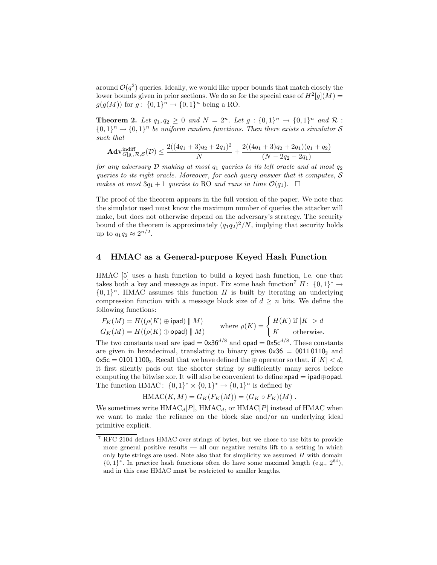around  $\mathcal{O}(q^2)$  queries. Ideally, we would like upper bounds that match closely the lower bounds given in prior sections. We do so for the special case of  $H^2[g](M) =$  $g(g(M))$  for  $g: \{0,1\}^n \to \{0,1\}^n$  being a RO.

**Theorem 2.** Let  $q_1, q_2 \ge 0$  and  $N = 2^n$ . Let  $g: \{0, 1\}^n \to \{0, 1\}^n$  and  $\mathcal{R}$ :  $\{0,1\}^n \to \{0,1\}^n$  be uniform random functions. Then there exists a simulator S such that

$$
\mathbf{Adv}_{G[g],R,\mathcal{S}}^{\text{indiff}}(\mathcal{D}) \le \frac{2((4q_1+3)q_2+2q_1)^2}{N} + \frac{2((4q_1+3)q_2+2q_1)(q_1+q_2)}{(N-2q_2-2q_1)}
$$

for any adversary D making at most  $q_1$  queries to its left oracle and at most  $q_2$ queries to its right oracle. Moreover, for each query answer that it computes, S makes at most  $3q_1 + 1$  queries to RO and runs in time  $\mathcal{O}(q_1)$ .  $\Box$ 

The proof of the theorem appears in the full version of the paper. We note that the simulator used must know the maximum number of queries the attacker will make, but does not otherwise depend on the adversary's strategy. The security bound of the theorem is approximately  $(q_1q_2)^2/N$ , implying that security holds up to  $q_1q_2 \approx 2^{n/2}$ .

# 4 HMAC as a General-purpose Keyed Hash Function

HMAC [5] uses a hash function to build a keyed hash function, i.e. one that takes both a key and message as input. Fix some hash function<sup>7</sup>  $H: \{0,1\}^* \to$  ${0,1}<sup>n</sup>$ . HMAC assumes this function H is built by iterating an underlying compression function with a message block size of  $d \geq n$  bits. We define the following functions:

$$
\begin{array}{ll} F_K(M) = H((\rho(K) \oplus \mathsf{ipad}) \parallel M) \\ G_K(M) = H((\rho(K) \oplus \mathsf{opad}) \parallel M) \end{array} \qquad \text{where } \rho(K) = \begin{cases} H(K) \text{ if } |K| > d \\ K \qquad \text{otherwise.} \end{cases}
$$

The two constants used are  $ipad = 0 \times 36^{d/8}$  and  $opad = 0 \times 5c^{d/8}$ . These constants are given in hexadecimal, translating to binary gives  $0 \times 36 = 00110110_2$  and  $0 \times 5c = 01011100_2$ . Recall that we have defined the  $\oplus$  operator so that, if  $|K| < d$ , it first silently pads out the shorter string by sufficiently many zeros before computing the bitwise xor. It will also be convenient to define  $xpad = ipad@opad$ . The function HMAC:  $\{0,1\}^* \times \{0,1\}^* \to \{0,1\}^n$  is defined by

$$
\text{HMAC}(K, M) = G_K(F_K(M)) = (G_K \circ F_K)(M) .
$$

We sometimes write  $HMAC_d[P]$ ,  $HMAC_d$ , or  $HMAC[P]$  instead of  $HMAC$  when we want to make the reliance on the block size and/or an underlying ideal primitive explicit.

<sup>7</sup> RFC 2104 defines HMAC over strings of bytes, but we chose to use bits to provide more general positive results — all our negative results lift to a setting in which only byte strings are used. Note also that for simplicity we assumed  $H$  with domain  ${0,1}^*$ . In practice hash functions often do have some maximal length (e.g.,  $2^{64}$ ), and in this case HMAC must be restricted to smaller lengths.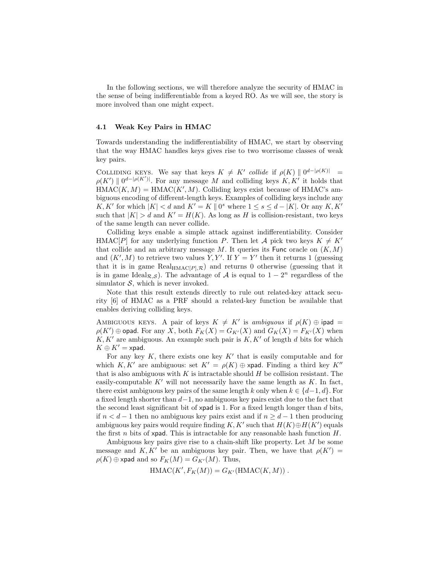In the following sections, we will therefore analyze the security of HMAC in the sense of being indifferentiable from a keyed RO. As we will see, the story is more involved than one might expect.

#### 4.1 Weak Key Pairs in HMAC

Towards understanding the indifferentiability of HMAC, we start by observing that the way HMAC handles keys gives rise to two worrisome classes of weak key pairs.

COLLIDING KEYS. We say that keys  $K \neq K'$  collide if  $\rho(K) \parallel 0^{d-|\rho(K)|}$  =  $\rho(K') \parallel 0^{d-|\rho(K')|}$ . For any message M and colliding keys  $K, K'$  it holds that  $HMAC(K, M) = HMAC(K', M)$ . Colliding keys exist because of HMAC's ambiguous encoding of different-length keys. Examples of colliding keys include any K, K' for which  $|K| < d$  and  $K' = K \parallel 0^s$  where  $1 \leq s \leq d - |K|$ . Or any K, K' such that  $|K| > d$  and  $K' = H(K)$ . As long as H is collision-resistant, two keys of the same length can never collide.

Colliding keys enable a simple attack against indifferentiability. Consider HMAC[P] for any underlying function P. Then let A pick two keys  $K \neq K'$ that collide and an arbitrary message M. It queries its Func oracle on  $(K, M)$ and  $(K', M)$  to retrieve two values Y, Y'. If  $Y = Y'$  then it returns 1 (guessing that it is in game  $\text{Real}_{\text{HMAC}[P], \mathcal{R}}$ ) and returns 0 otherwise (guessing that it is in game Ideal<sub> $\mathcal{R},\mathcal{S}$ </sub>). The advantage of A is equal to  $1-2^n$  regardless of the simulator  $S$ , which is never invoked.

Note that this result extends directly to rule out related-key attack security [6] of HMAC as a PRF should a related-key function be available that enables deriving colliding keys.

AMBIGUOUS KEYS. A pair of keys  $K \neq K'$  is ambiguous if  $\rho(K) \oplus \text{ipad} =$  $\rho(K') \oplus \text{opad. For any } X, \text{ both } F_K(X) = G_{K'}(X) \text{ and } G_K(X) = F_{K'}(X) \text{ when }$  $K, K'$  are ambiguous. An example such pair is  $K, K'$  of length d bits for which  $K \oplus K' = \mathsf{xpad}.$ 

For any key  $K$ , there exists one key  $K'$  that is easily computable and for which K, K' are ambiguous: set  $K' = \rho(K) \oplus$  xpad. Finding a third key K'' that is also ambiguous with  $K$  is intractable should  $H$  be collision resistant. The easily-computable  $K'$  will not necessarily have the same length as  $K$ . In fact, there exist ambiguous key pairs of the same length k only when  $k \in \{d-1, d\}$ . For a fixed length shorter than d−1, no ambiguous key pairs exist due to the fact that the second least significant bit of  $x$ pad is 1. For a fixed length longer than  $d$  bits, if  $n < d-1$  then no ambiguous key pairs exist and if  $n \ge d-1$  then producing ambiguous key pairs would require finding  $K, K'$  such that  $H(K) \oplus H(K')$  equals the first n bits of xpad. This is intractable for any reasonable hash function  $H$ .

Ambiguous key pairs give rise to a chain-shift like property. Let M be some message and K, K' be an ambiguous key pair. Then, we have that  $\rho(K') =$  $\rho(K) \oplus$  xpad and so  $F_K(M) = G_{K'}(M)$ . Thus,

$$
\operatorname{HMAC}(K', F_K(M)) = G_{K'}(\operatorname{HMAC}(K, M)) .
$$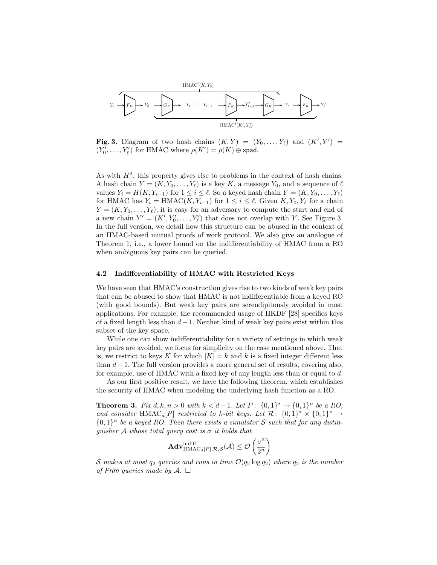

Fig. 3. Diagram of two hash chains  $(K, Y) = (Y_0, \ldots, Y_\ell)$  and  $(K', Y') =$  $(Y'_0, \ldots, Y'_\ell)$  for HMAC where  $\rho(K') = \rho(K) \oplus \text{{\sf xpad}}$ .

As with  $H^2$ , this property gives rise to problems in the context of hash chains. A hash chain  $Y = (K, Y_0, \ldots, Y_\ell)$  is a key K, a message  $Y_0$ , and a sequence of  $\ell$ values  $Y_i = H(K, Y_{i-1})$  for  $1 \leq i \leq \ell$ . So a keyed hash chain  $Y = (K, Y_0, \ldots, Y_{\ell})$ for HMAC has  $Y_i = \text{HMAC}(K, Y_{i-1})$  for  $1 \leq i \leq \ell$ . Given  $K, Y_0, Y_\ell$  for a chain  $Y = (K, Y_0, \ldots, Y_\ell)$ , it is easy for an adversary to compute the start and end of a new chain  $Y' = (K', Y'_0, \ldots, Y'_\ell)$  that does not overlap with Y. See Figure 3. In the full version, we detail how this structure can be abused in the context of an HMAC-based mutual proofs of work protocol. We also give an analogue of Theorem 1, i.e., a lower bound on the indifferentiability of HMAC from a RO when ambiguous key pairs can be queried.

### 4.2 Indifferentiability of HMAC with Restricted Keys

We have seen that HMAC's construction gives rise to two kinds of weak key pairs that can be abused to show that HMAC is not indifferentiable from a keyed RO (with good bounds). But weak key pairs are serendipitously avoided in most applications. For example, the recommended usage of HKDF [28] specifies keys of a fixed length less than  $d-1$ . Neither kind of weak key pairs exist within this subset of the key space.

While one can show indifferentiability for a variety of settings in which weak key pairs are avoided, we focus for simplicity on the case mentioned above. That is, we restrict to keys K for which  $|K| = k$  and k is a fixed integer different less than  $d-1$ . The full version provides a more general set of results, covering also, for example, use of HMAC with a fixed key of any length less than or equal to d.

As our first positive result, we have the following theorem, which establishes the security of HMAC when modeling the underlying hash function as a RO.

**Theorem 3.** Fix d, k, n > 0 with  $k < d-1$ . Let  $P: \{0,1\}^*$  →  $\{0,1\}^n$  be a RO, and consider HMAC<sub>d</sub>[P] restricted to k-bit keys. Let  $\mathcal{R}$ :  $\{0,1\}^* \times \{0,1\}^* \rightarrow$  ${0,1}<sup>n</sup>$  be a keyed RO. Then there exists a simulator S such that for any distinguisher A whose total query cost is  $\sigma$  it holds that

$$
\mathbf{Adv}_{\mathrm{HMAC}_{d}[P], \mathcal{R}, \mathcal{S}}^{\mathrm{indiff}}(\mathcal{A}) \leq \mathcal{O}\left(\frac{\sigma^2}{2^n}\right)
$$

S makes at most  $q_2$  queries and runs in time  $\mathcal{O}(q_2 \log q_2)$  where  $q_2$  is the number of Prim queries made by  $\mathcal{A}$ .  $\square$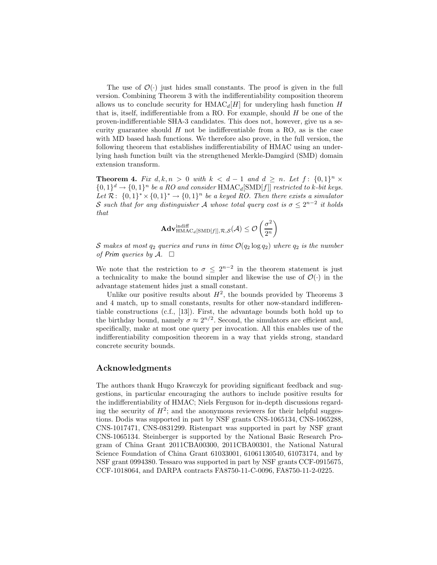The use of  $\mathcal{O}(\cdot)$  just hides small constants. The proof is given in the full version. Combining Theorem 3 with the indifferentiability composition theorem allows us to conclude security for  $HMAC_d[H]$  for underyling hash function H that is, itself, indifferentiable from a RO. For example, should  $H$  be one of the proven-indifferentiable SHA-3 candidates. This does not, however, give us a security guarantee should  $H$  not be indifferentiable from a RO, as is the case with MD based hash functions. We therefore also prove, in the full version, the following theorem that establishes indifferentiability of HMAC using an underlying hash function built via the strengthened Merkle-Damgård (SMD) domain extension transform.

**Theorem 4.** Fix  $d, k, n > 0$  with  $k < d-1$  and  $d \geq n$ . Let  $f: \{0,1\}^n \times$  $\{0,1\}^d \rightarrow \{0,1\}^n$  be a RO and consider HMAC<sub>d</sub>[SMD[f]] restricted to k-bit keys. Let  $\mathcal{R}$ :  $\{0,1\}^* \times \{0,1\}^* \rightarrow \{0,1\}^n$  be a keyed RO. Then there exists a simulator S such that for any distinguisher A whose total query cost is  $\sigma \leq 2^{n-2}$  it holds that

$$
\mathbf{Adv}_{\mathrm{HMAC}_{d}[\mathrm{SMD}[f]], \mathcal{R}, \mathcal{S}}^{\mathrm{indiff}}(\mathcal{A}) \leq \mathcal{O}\left(\frac{\sigma^2}{2^n}\right)
$$

S makes at most  $q_2$  queries and runs in time  $\mathcal{O}(q_2 \log q_2)$  where  $q_2$  is the number of Prim queries by  $\mathcal{A}$ .  $\square$ 

We note that the restriction to  $\sigma \leq 2^{n-2}$  in the theorem statement is just a technicality to make the bound simpler and likewise the use of  $\mathcal{O}(\cdot)$  in the advantage statement hides just a small constant.

Unlike our positive results about  $H^2$ , the bounds provided by Theorems 3 and 4 match, up to small constants, results for other now-standard indifferentiable constructions (c.f., [13]). First, the advantage bounds both hold up to the birthday bound, namely  $\sigma \approx 2^{n/2}$ . Second, the simulators are efficient and, specifically, make at most one query per invocation. All this enables use of the indifferentiability composition theorem in a way that yields strong, standard concrete security bounds.

## Acknowledgments

The authors thank Hugo Krawczyk for providing significant feedback and suggestions, in particular encouraging the authors to include positive results for the indifferentiability of HMAC; Niels Ferguson for in-depth discussions regarding the security of  $H^2$ ; and the anonymous reviewers for their helpful suggestions. Dodis was supported in part by NSF grants CNS-1065134, CNS-1065288, CNS-1017471, CNS-0831299. Ristenpart was supported in part by NSF grant CNS-1065134. Steinberger is supported by the National Basic Research Program of China Grant 2011CBA00300, 2011CBA00301, the National Natural Science Foundation of China Grant 61033001, 61061130540, 61073174, and by NSF grant 0994380. Tessaro was supported in part by NSF grants CCF-0915675, CCF-1018064, and DARPA contracts FA8750-11-C-0096, FA8750-11-2-0225.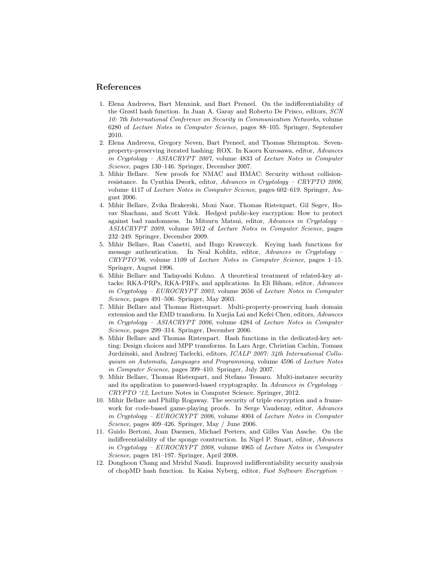## References

- 1. Elena Andreeva, Bart Mennink, and Bart Preneel. On the indifferentiability of the Grøstl hash function. In Juan A. Garay and Roberto De Prisco, editors, SCN 10: 7th International Conference on Security in Communication Networks, volume 6280 of Lecture Notes in Computer Science, pages 88–105. Springer, September 2010.
- 2. Elena Andreeva, Gregory Neven, Bart Preneel, and Thomas Shrimpton. Sevenproperty-preserving iterated hashing: ROX. In Kaoru Kurosawa, editor, Advances in Cryptology – ASIACRYPT 2007, volume 4833 of Lecture Notes in Computer Science, pages 130–146. Springer, December 2007.
- 3. Mihir Bellare. New proofs for NMAC and HMAC: Security without collisionresistance. In Cynthia Dwork, editor, Advances in Cryptology – CRYPTO 2006, volume 4117 of Lecture Notes in Computer Science, pages 602–619. Springer, August 2006.
- 4. Mihir Bellare, Zvika Brakerski, Moni Naor, Thomas Ristenpart, Gil Segev, Hovav Shacham, and Scott Yilek. Hedged public-key encryption: How to protect against bad randomness. In Mitsuru Matsui, editor, Advances in Cryptology – ASIACRYPT 2009, volume 5912 of Lecture Notes in Computer Science, pages 232–249. Springer, December 2009.
- 5. Mihir Bellare, Ran Canetti, and Hugo Krawczyk. Keying hash functions for message authentication. In Neal Koblitz, editor, Advances in Cryptology – CRYPTO'96, volume 1109 of Lecture Notes in Computer Science, pages 1–15. Springer, August 1996.
- 6. Mihir Bellare and Tadayoshi Kohno. A theoretical treatment of related-key attacks: RKA-PRPs, RKA-PRFs, and applications. In Eli Biham, editor, Advances in Cryptology – EUROCRYPT 2003, volume 2656 of Lecture Notes in Computer Science, pages 491–506. Springer, May 2003.
- 7. Mihir Bellare and Thomas Ristenpart. Multi-property-preserving hash domain extension and the EMD transform. In Xuejia Lai and Kefei Chen, editors, Advances in Cryptology – ASIACRYPT 2006, volume 4284 of Lecture Notes in Computer Science, pages 299–314. Springer, December 2006.
- 8. Mihir Bellare and Thomas Ristenpart. Hash functions in the dedicated-key setting: Design choices and MPP transforms. In Lars Arge, Christian Cachin, Tomasz Jurdzinski, and Andrzej Tarlecki, editors, ICALP 2007: 34th International Colloquium on Automata, Languages and Programming, volume 4596 of Lecture Notes in Computer Science, pages 399–410. Springer, July 2007.
- 9. Mihir Bellare, Thomas Ristenpart, and Stefano Tessaro. Multi-instance security and its application to password-based cryptography. In Advances in Cryptology – CRYPTO '12, Lecture Notes in Computer Science. Springer, 2012.
- 10. Mihir Bellare and Phillip Rogaway. The security of triple encryption and a framework for code-based game-playing proofs. In Serge Vaudenay, editor, Advances in Cryptology – EUROCRYPT 2006, volume 4004 of Lecture Notes in Computer Science, pages 409–426. Springer, May / June 2006.
- 11. Guido Bertoni, Joan Daemen, Michael Peeters, and Gilles Van Assche. On the indifferentiability of the sponge construction. In Nigel P. Smart, editor, Advances in Cryptology – EUROCRYPT 2008, volume 4965 of Lecture Notes in Computer Science, pages 181–197. Springer, April 2008.
- 12. Donghoon Chang and Mridul Nandi. Improved indifferentiability security analysis of chopMD hash function. In Kaisa Nyberg, editor, Fast Software Encryption –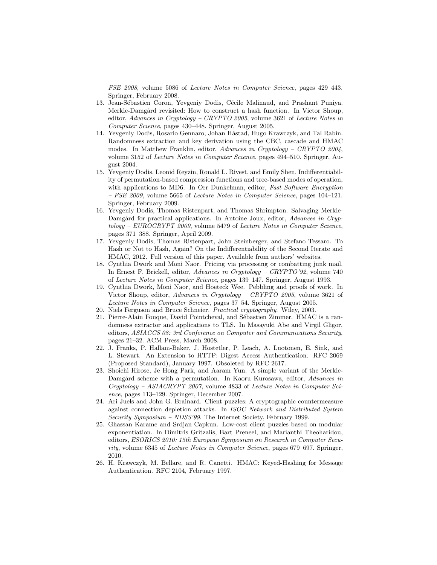FSE 2008, volume 5086 of Lecture Notes in Computer Science, pages 429–443. Springer, February 2008.

- 13. Jean-Sébastien Coron, Yevgeniy Dodis, Cécile Malinaud, and Prashant Puniya. Merkle-Damgård revisited: How to construct a hash function. In Victor Shoup, editor, Advances in Cryptology – CRYPTO 2005, volume 3621 of Lecture Notes in Computer Science, pages 430–448. Springer, August 2005.
- 14. Yevgeniy Dodis, Rosario Gennaro, Johan Håstad, Hugo Krawczyk, and Tal Rabin. Randomness extraction and key derivation using the CBC, cascade and HMAC modes. In Matthew Franklin, editor, Advances in Cryptology – CRYPTO 2004, volume 3152 of Lecture Notes in Computer Science, pages 494–510. Springer, August 2004.
- 15. Yevgeniy Dodis, Leonid Reyzin, Ronald L. Rivest, and Emily Shen. Indifferentiability of permutation-based compression functions and tree-based modes of operation, with applications to MD6. In Orr Dunkelman, editor, Fast Software Encryption  $- FSE 2009$ , volume 5665 of *Lecture Notes in Computer Science*, pages  $104-121$ . Springer, February 2009.
- 16. Yevgeniy Dodis, Thomas Ristenpart, and Thomas Shrimpton. Salvaging Merkle-Damgård for practical applications. In Antoine Joux, editor, Advances in Cryptology – EUROCRYPT 2009, volume 5479 of Lecture Notes in Computer Science, pages 371–388. Springer, April 2009.
- 17. Yevgeniy Dodis, Thomas Ristenpart, John Steinberger, and Stefano Tessaro. To Hash or Not to Hash, Again? On the Indifferentiability of the Second Iterate and HMAC, 2012. Full version of this paper. Available from authors' websites.
- 18. Cynthia Dwork and Moni Naor. Pricing via processing or combatting junk mail. In Ernest F. Brickell, editor, Advances in Cryptology – CRYPTO'92, volume 740 of Lecture Notes in Computer Science, pages 139–147. Springer, August 1993.
- 19. Cynthia Dwork, Moni Naor, and Hoeteck Wee. Pebbling and proofs of work. In Victor Shoup, editor, Advances in Cryptology – CRYPTO 2005, volume 3621 of Lecture Notes in Computer Science, pages 37–54. Springer, August 2005.
- 20. Niels Ferguson and Bruce Schneier. Practical cryptography. Wiley, 2003.
- 21. Pierre-Alain Fouque, David Pointcheval, and Sébastien Zimmer. HMAC is a randomness extractor and applications to TLS. In Masayuki Abe and Virgil Gligor, editors, ASIACCS 08: 3rd Conference on Computer and Communications Security, pages 21–32. ACM Press, March 2008.
- 22. J. Franks, P. Hallam-Baker, J. Hostetler, P. Leach, A. Luotonen, E. Sink, and L. Stewart. An Extension to HTTP: Digest Access Authentication. RFC 2069 (Proposed Standard), January 1997. Obsoleted by RFC 2617.
- 23. Shoichi Hirose, Je Hong Park, and Aaram Yun. A simple variant of the Merkle-Damgård scheme with a permutation. In Kaoru Kurosawa, editor, Advances in Cryptology – ASIACRYPT 2007, volume 4833 of Lecture Notes in Computer Science, pages 113–129. Springer, December 2007.
- 24. Ari Juels and John G. Brainard. Client puzzles: A cryptographic countermeasure against connection depletion attacks. In ISOC Network and Distributed System Security Symposium – NDSS'99. The Internet Society, February 1999.
- 25. Ghassan Karame and Srdjan Capkun. Low-cost client puzzles based on modular exponentiation. In Dimitris Gritzalis, Bart Preneel, and Marianthi Theoharidou, editors, ESORICS 2010: 15th European Symposium on Research in Computer Security, volume 6345 of Lecture Notes in Computer Science, pages 679–697. Springer, 2010.
- 26. H. Krawczyk, M. Bellare, and R. Canetti. HMAC: Keyed-Hashing for Message Authentication. RFC 2104, February 1997.